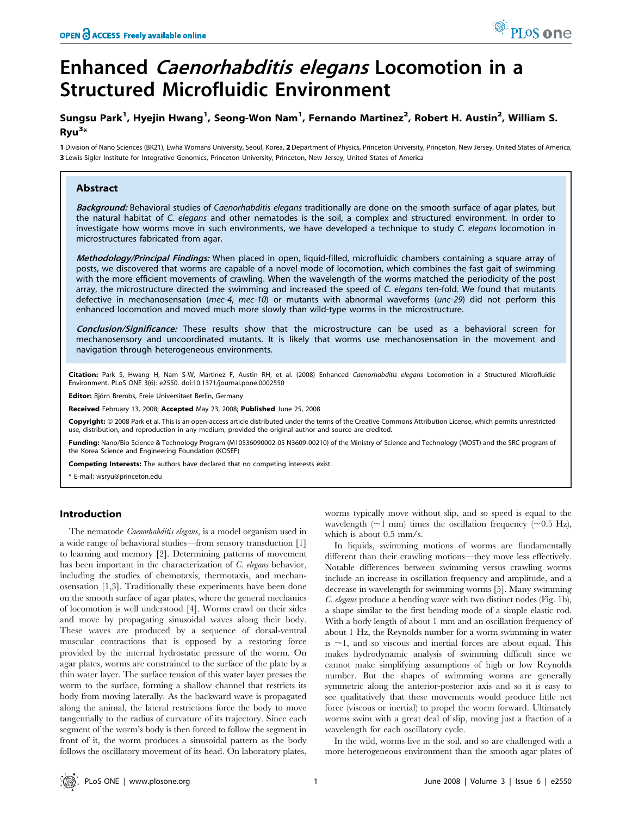# Enhanced Caenorhabditis elegans Locomotion in a Structured Microfluidic Environment

# Sungsu Park<sup>1</sup>, Hyejin Hwang<sup>1</sup>, Seong-Won Nam<sup>1</sup>, Fernando Martinez<sup>2</sup>, Robert H. Austin<sup>2</sup>, William S. Ryu<sup>3</sup>\*

1 Division of Nano Sciences (BK21), Ewha Womans University, Seoul, Korea, 2 Department of Physics, Princeton University, Princeton, New Jersey, United States of America, 3 Lewis-Sigler Institute for Integrative Genomics, Princeton University, Princeton, New Jersey, United States of America

## Abstract

Background: Behavioral studies of Caenorhabditis elegans traditionally are done on the smooth surface of agar plates, but the natural habitat of C. elegans and other nematodes is the soil, a complex and structured environment. In order to investigate how worms move in such environments, we have developed a technique to study C. elegans locomotion in microstructures fabricated from agar.

Methodology/Principal Findings: When placed in open, liquid-filled, microfluidic chambers containing a square array of posts, we discovered that worms are capable of a novel mode of locomotion, which combines the fast gait of swimming with the more efficient movements of crawling. When the wavelength of the worms matched the periodicity of the post array, the microstructure directed the swimming and increased the speed of C. elegans ten-fold. We found that mutants defective in mechanosensation (mec-4, mec-10) or mutants with abnormal waveforms (unc-29) did not perform this enhanced locomotion and moved much more slowly than wild-type worms in the microstructure.

Conclusion/Significance: These results show that the microstructure can be used as a behavioral screen for mechanosensory and uncoordinated mutants. It is likely that worms use mechanosensation in the movement and navigation through heterogeneous environments.

Citation: Park S, Hwang H, Nam S-W, Martinez F, Austin RH, et al. (2008) Enhanced Caenorhabditis elegans Locomotion in a Structured Microfluidic Environment. PLoS ONE 3(6): e2550. doi:10.1371/journal.pone.0002550

Editor: Björn Brembs, Freie Universitaet Berlin, Germany

Received February 13, 2008; Accepted May 23, 2008; Published June 25, 2008

Copyright: 2008 Park et al. This is an open-access article distributed under the terms of the Creative Commons Attribution License, which permits unrestricted use, distribution, and reproduction in any medium, provided the original author and source are credited.

Funding: Nano/Bio Science & Technology Program (M10536090002-05 N3609-00210) of the Ministry of Science and Technology (MOST) and the SRC program of the Korea Science and Engineering Foundation (KOSEF)

Competing Interests: The authors have declared that no competing interests exist.

\* E-mail: wsryu@princeton.edu

#### Introduction

The nematode *Caenorhabditis elegans*, is a model organism used in a wide range of behavioral studies—from sensory transduction [1] to learning and memory [2]. Determining patterns of movement has been important in the characterization of C. elegans behavior, including the studies of chemotaxis, thermotaxis, and mechanosensation [1,3]. Traditionally these experiments have been done on the smooth surface of agar plates, where the general mechanics of locomotion is well understood [4]. Worms crawl on their sides and move by propagating sinusoidal waves along their body. These waves are produced by a sequence of dorsal-ventral muscular contractions that is opposed by a restoring force provided by the internal hydrostatic pressure of the worm. On agar plates, worms are constrained to the surface of the plate by a thin water layer. The surface tension of this water layer presses the worm to the surface, forming a shallow channel that restricts its body from moving laterally. As the backward wave is propagated along the animal, the lateral restrictions force the body to move tangentially to the radius of curvature of its trajectory. Since each segment of the worm's body is then forced to follow the segment in front of it, the worm produces a sinusoidal pattern as the body follows the oscillatory movement of its head. On laboratory plates, worms typically move without slip, and so speed is equal to the wavelength ( $\sim$ 1 mm) times the oscillation frequency ( $\sim$ 0.5 Hz), which is about 0.5 mm/s.

PLos one

In liquids, swimming motions of worms are fundamentally different than their crawling motions—they move less effectively. Notable differences between swimming versus crawling worms include an increase in oscillation frequency and amplitude, and a decrease in wavelength for swimming worms [5]. Many swimming C. elegans produce a bending wave with two distinct nodes (Fig. 1b), a shape similar to the first bending mode of a simple elastic rod. With a body length of about 1 mm and an oscillation frequency of about 1 Hz, the Reynolds number for a worm swimming in water is  $\sim$ 1, and so viscous and inertial forces are about equal. This makes hydrodynamic analysis of swimming difficult since we cannot make simplifying assumptions of high or low Reynolds number. But the shapes of swimming worms are generally symmetric along the anterior-posterior axis and so it is easy to see qualitatively that these movements would produce little net force (viscous or inertial) to propel the worm forward. Ultimately worms swim with a great deal of slip, moving just a fraction of a wavelength for each oscillatory cycle.

In the wild, worms live in the soil, and so are challenged with a more heterogeneous environment than the smooth agar plates of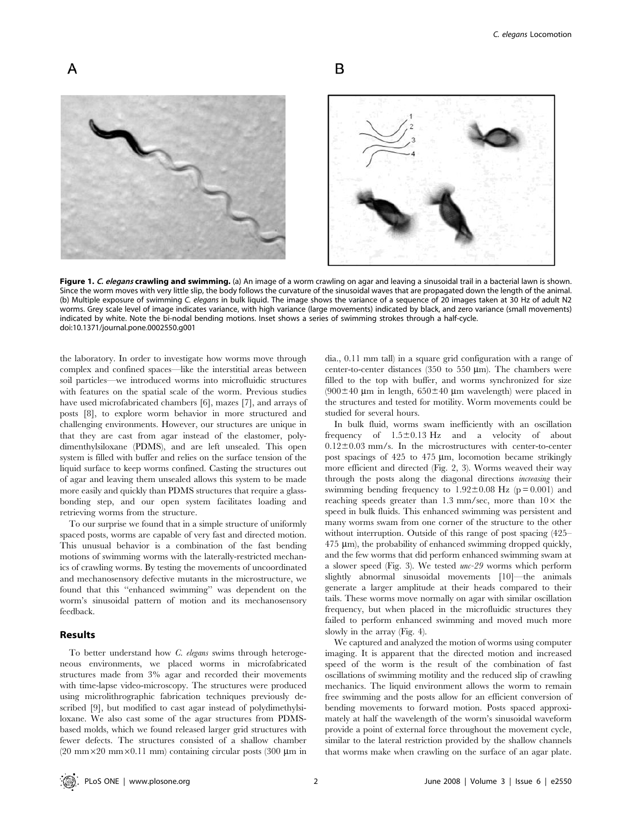

Figure 1. C. elegans crawling and swimming. (a) An image of a worm crawling on agar and leaving a sinusoidal trail in a bacterial lawn is shown. Since the worm moves with very little slip, the body follows the curvature of the sinusoidal waves that are propagated down the length of the animal. (b) Multiple exposure of swimming C. elegans in bulk liquid. The image shows the variance of a sequence of 20 images taken at 30 Hz of adult N2 worms. Grey scale level of image indicates variance, with high variance (large movements) indicated by black, and zero variance (small movements) indicated by white. Note the bi-nodal bending motions. Inset shows a series of swimming strokes through a half-cycle. doi:10.1371/journal.pone.0002550.g001

the laboratory. In order to investigate how worms move through complex and confined spaces—like the interstitial areas between soil particles—we introduced worms into microfluidic structures with features on the spatial scale of the worm. Previous studies have used microfabricated chambers [6], mazes [7], and arrays of posts [8], to explore worm behavior in more structured and challenging environments. However, our structures are unique in that they are cast from agar instead of the elastomer, polydimenthylsiloxane (PDMS), and are left unsealed. This open system is filled with buffer and relies on the surface tension of the liquid surface to keep worms confined. Casting the structures out of agar and leaving them unsealed allows this system to be made more easily and quickly than PDMS structures that require a glassbonding step, and our open system facilitates loading and retrieving worms from the structure.

To our surprise we found that in a simple structure of uniformly spaced posts, worms are capable of very fast and directed motion. This unusual behavior is a combination of the fast bending motions of swimming worms with the laterally-restricted mechanics of crawling worms. By testing the movements of uncoordinated and mechanosensory defective mutants in the microstructure, we found that this ''enhanced swimming'' was dependent on the worm's sinusoidal pattern of motion and its mechanosensory feedback.

# Results

To better understand how C. elegans swims through heterogeneous environments, we placed worms in microfabricated structures made from 3% agar and recorded their movements with time-lapse video-microscopy. The structures were produced using microlithrographic fabrication techniques previously described [9], but modified to cast agar instead of polydimethylsiloxane. We also cast some of the agar structures from PDMSbased molds, which we found released larger grid structures with fewer defects. The structures consisted of a shallow chamber (20 mm $\times$ 20 mm $\times$ 0.11 mm) containing circular posts (300 µm in

dia., 0.11 mm tall) in a square grid configuration with a range of center-to-center distances (350 to 550  $\mu$ m). The chambers were filled to the top with buffer, and worms synchronized for size  $(900\pm40 \text{ }\mu\text{m} \text{ in length}, 650\pm40 \text{ }\mu\text{m} \text{ wavelength})$  were placed in the structures and tested for motility. Worm movements could be studied for several hours.

In bulk fluid, worms swam inefficiently with an oscillation frequency of  $1.5\pm0.13$  Hz and a velocity of about  $0.12\pm0.03$  mm/s. In the microstructures with center-to-center post spacings of  $425$  to  $475 \mu m$ , locomotion became strikingly more efficient and directed (Fig. 2, 3). Worms weaved their way through the posts along the diagonal directions increasing their swimming bending frequency to  $1.92 \pm 0.08$  Hz (p = 0.001) and reaching speeds greater than  $1.3 \text{ mm/sec}$ , more than  $10 \times$  the speed in bulk fluids. This enhanced swimming was persistent and many worms swam from one corner of the structure to the other without interruption. Outside of this range of post spacing (425–  $475 \text{ }\mu\text{m}$ , the probability of enhanced swimming dropped quickly, and the few worms that did perform enhanced swimming swam at a slower speed (Fig. 3). We tested unc-29 worms which perform slightly abnormal sinusoidal movements [10]—the animals generate a larger amplitude at their heads compared to their tails. These worms move normally on agar with similar oscillation frequency, but when placed in the microfluidic structures they failed to perform enhanced swimming and moved much more slowly in the array (Fig. 4).

We captured and analyzed the motion of worms using computer imaging. It is apparent that the directed motion and increased speed of the worm is the result of the combination of fast oscillations of swimming motility and the reduced slip of crawling mechanics. The liquid environment allows the worm to remain free swimming and the posts allow for an efficient conversion of bending movements to forward motion. Posts spaced approximately at half the wavelength of the worm's sinusoidal waveform provide a point of external force throughout the movement cycle, similar to the lateral restriction provided by the shallow channels that worms make when crawling on the surface of an agar plate.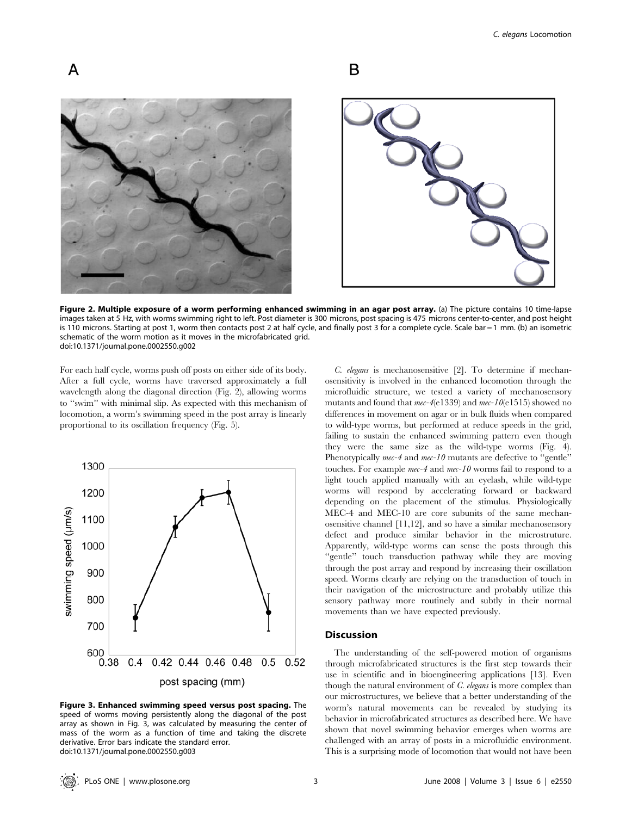

Figure 2. Multiple exposure of a worm performing enhanced swimming in an agar post array. (a) The picture contains 10 time-lapse images taken at 5 Hz, with worms swimming right to left. Post diameter is 300 microns, post spacing is 475 microns center-to-center, and post height is 110 microns. Starting at post 1, worm then contacts post 2 at half cycle, and finally post 3 for a complete cycle. Scale bar = 1 mm. (b) an isometric schematic of the worm motion as it moves in the microfabricated grid. doi:10.1371/journal.pone.0002550.g002

For each half cycle, worms push off posts on either side of its body. After a full cycle, worms have traversed approximately a full wavelength along the diagonal direction (Fig. 2), allowing worms to ''swim'' with minimal slip. As expected with this mechanism of locomotion, a worm's swimming speed in the post array is linearly proportional to its oscillation frequency (Fig. 5).

A



Figure 3. Enhanced swimming speed versus post spacing. The speed of worms moving persistently along the diagonal of the post array as shown in Fig. 3, was calculated by measuring the center of mass of the worm as a function of time and taking the discrete derivative. Error bars indicate the standard error. doi:10.1371/journal.pone.0002550.g003

C. elegans is mechanosensitive [2]. To determine if mechanosensitivity is involved in the enhanced locomotion through the microfluidic structure, we tested a variety of mechanosensory mutants and found that mec-4(e1339) and mec-10(e1515) showed no differences in movement on agar or in bulk fluids when compared to wild-type worms, but performed at reduce speeds in the grid, failing to sustain the enhanced swimming pattern even though they were the same size as the wild-type worms (Fig. 4). Phenotypically mec-4 and mec-10 mutants are defective to "gentle" touches. For example mec-4 and mec-10 worms fail to respond to a light touch applied manually with an eyelash, while wild-type worms will respond by accelerating forward or backward depending on the placement of the stimulus. Physiologically MEC-4 and MEC-10 are core subunits of the same mechanosensitive channel [11,12], and so have a similar mechanosensory defect and produce similar behavior in the microstruture. Apparently, wild-type worms can sense the posts through this "gentle" touch transduction pathway while they are moving through the post array and respond by increasing their oscillation speed. Worms clearly are relying on the transduction of touch in their navigation of the microstructure and probably utilize this sensory pathway more routinely and subtly in their normal movements than we have expected previously.

# Discussion

The understanding of the self-powered motion of organisms through microfabricated structures is the first step towards their use in scientific and in bioengineering applications [13]. Even though the natural environment of  $C$ . elegans is more complex than our microstructures, we believe that a better understanding of the worm's natural movements can be revealed by studying its behavior in microfabricated structures as described here. We have shown that novel swimming behavior emerges when worms are challenged with an array of posts in a microfluidic environment. This is a surprising mode of locomotion that would not have been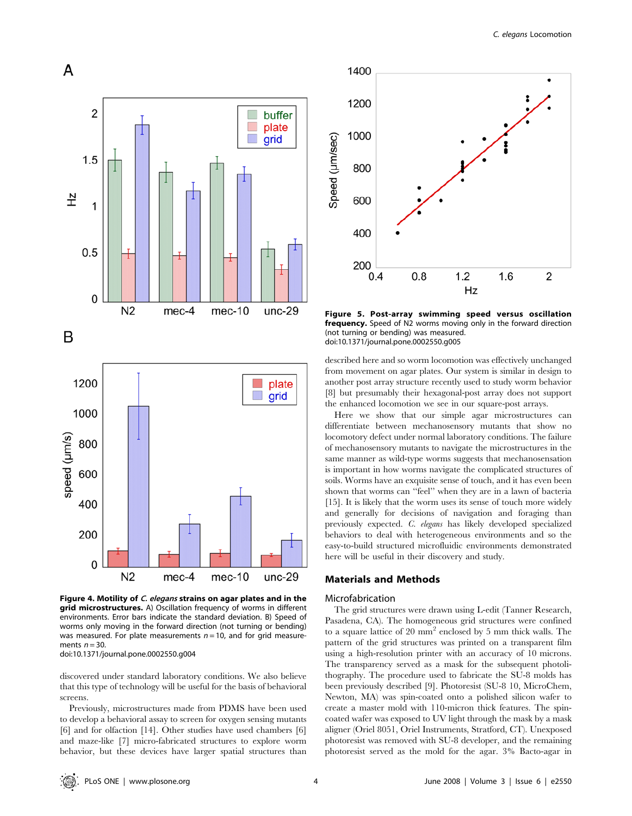

Figure 4. Motility of C. elegans strains on agar plates and in the grid microstructures. A) Oscillation frequency of worms in different environments. Error bars indicate the standard deviation. B) Speed of worms only moving in the forward direction (not turning or bending) was measured. For plate measurements  $n = 10$ , and for grid measurements  $n = 30$ 

doi:10.1371/journal.pone.0002550.g004

discovered under standard laboratory conditions. We also believe that this type of technology will be useful for the basis of behavioral screens.

Previously, microstructures made from PDMS have been used to develop a behavioral assay to screen for oxygen sensing mutants [6] and for olfaction [14]. Other studies have used chambers [6] and maze-like [7] micro-fabricated structures to explore worm behavior, but these devices have larger spatial structures than



Figure 5. Post-array swimming speed versus oscillation frequency. Speed of N2 worms moving only in the forward direction (not turning or bending) was measured. doi:10.1371/journal.pone.0002550.g005

described here and so worm locomotion was effectively unchanged from movement on agar plates. Our system is similar in design to another post array structure recently used to study worm behavior [8] but presumably their hexagonal-post array does not support the enhanced locomotion we see in our square-post arrays.

Here we show that our simple agar microstructures can differentiate between mechanosensory mutants that show no locomotory defect under normal laboratory conditions. The failure of mechanosensory mutants to navigate the microstructures in the same manner as wild-type worms suggests that mechanosensation is important in how worms navigate the complicated structures of soils. Worms have an exquisite sense of touch, and it has even been shown that worms can ''feel'' when they are in a lawn of bacteria [15]. It is likely that the worm uses its sense of touch more widely and generally for decisions of navigation and foraging than previously expected. C. elegans has likely developed specialized behaviors to deal with heterogeneous environments and so the easy-to-build structured microfluidic environments demonstrated here will be useful in their discovery and study.

## Materials and Methods

#### Microfabrication

The grid structures were drawn using L-edit (Tanner Research, Pasadena, CA). The homogeneous grid structures were confined to a square lattice of  $20 \text{ mm}^2$  enclosed by 5 mm thick walls. The pattern of the grid structures was printed on a transparent film using a high-resolution printer with an accuracy of 10 microns. The transparency served as a mask for the subsequent photolithography. The procedure used to fabricate the SU-8 molds has been previously described [9]. Photoresist (SU-8 10, MicroChem, Newton, MA) was spin-coated onto a polished silicon wafer to create a master mold with 110-micron thick features. The spincoated wafer was exposed to UV light through the mask by a mask aligner (Oriel 8051, Oriel Instruments, Stratford, CT). Unexposed photoresist was removed with SU-8 developer, and the remaining photoresist served as the mold for the agar. 3% Bacto-agar in